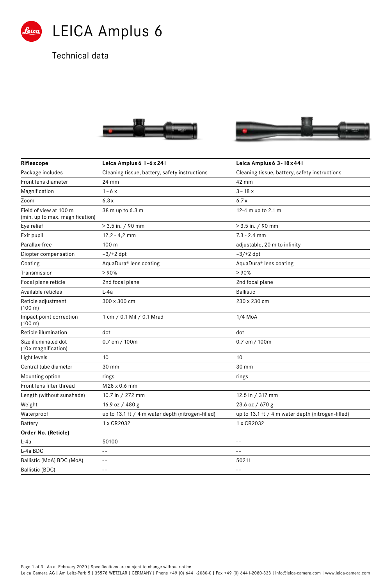

## Technical data





| Riflescope                                                | Leica Amplus 6 1-6 x 24i                          | Leica Amplus 6 3 - 18 x 44 i                      |  |
|-----------------------------------------------------------|---------------------------------------------------|---------------------------------------------------|--|
| Package includes                                          | Cleaning tissue, battery, safety instructions     | Cleaning tissue, battery, safety instructions     |  |
| Front lens diameter                                       | 24 mm                                             | 42 mm                                             |  |
| Magnification                                             | $1 - 6x$                                          | $3 - 18x$                                         |  |
| Zoom                                                      | 6.3x                                              | 6.7x                                              |  |
| Field of view at 100 m<br>(min. up to max. magnification) | 38 m up to 6.3 m                                  | 12-4 m up to 2.1 m                                |  |
| Eye relief                                                | $>3.5$ in. / 90 mm                                | $>$ 3.5 in. / 90 mm                               |  |
| Exit pupil                                                | $12,2 - 4,2$ mm                                   | $7.3 - 2.4$ mm                                    |  |
| Parallax-free                                             | 100 m                                             | adjustable, 20 m to infinity                      |  |
| Diopter compensation                                      | $-3/+2$ dpt                                       | $-3/+2$ dpt                                       |  |
| Coating                                                   | AquaDura® lens coating                            | AquaDura® lens coating                            |  |
| Transmission                                              | >90%                                              | >90%                                              |  |
| Focal plane reticle                                       | 2nd focal plane                                   | 2nd focal plane                                   |  |
| Available reticles                                        | $L-4a$                                            | <b>Ballistic</b>                                  |  |
| Reticle adjustment<br>(100 m)                             | 300 x 300 cm                                      | 230 x 230 cm                                      |  |
| Impact point correction<br>(100 m)                        | 1 cm / 0.1 Mil / 0.1 Mrad                         | 1/4 MoA                                           |  |
| Reticle illumination                                      | dot                                               | dot                                               |  |
| Size illuminated dot<br>(10 x magnification)              | 0.7 cm / 100m                                     | 0.7 cm / 100m                                     |  |
| Light levels                                              | 10                                                | 10                                                |  |
| Central tube diameter                                     | 30 mm                                             | 30 mm                                             |  |
| Mounting option                                           | rings                                             | rings                                             |  |
| Front lens filter thread                                  | M 28 x 0.6 mm                                     |                                                   |  |
| Length (without sunshade)                                 | 10.7 in / 272 mm                                  | 12.5 in / 317 mm                                  |  |
| Weight                                                    | 16.9 oz / 480 g                                   | 23.6 oz / 670 g                                   |  |
| Waterproof                                                | up to 13.1 ft / 4 m water depth (nitrogen-filled) | up to 13.1 ft / 4 m water depth (nitrogen-filled) |  |
| Battery                                                   | 1 x CR2032                                        | 1 x CR2032                                        |  |
| Order No. (Reticle)                                       |                                                   |                                                   |  |
| L-4a                                                      | 50100                                             | $=$ $=$                                           |  |
| L-4a BDC                                                  | $ -$                                              | $\sim$ $\sim$                                     |  |
| Ballistic (MoA) BDC (MoA)                                 | $- -$                                             | 50211                                             |  |
| <b>Ballistic (BDC)</b>                                    |                                                   |                                                   |  |

Page 1 of 3 | As at February 2020 | Specifications are subject to change without notice

Leica Camera AG I Am Leitz-Park 5 I 35578 WETZLAR I GERMANY I Phone +49 (0) 6441-2080-0 I Fax +49 (0) 6441-2080-333 I info@leica-camera.com I www.leica-camera.com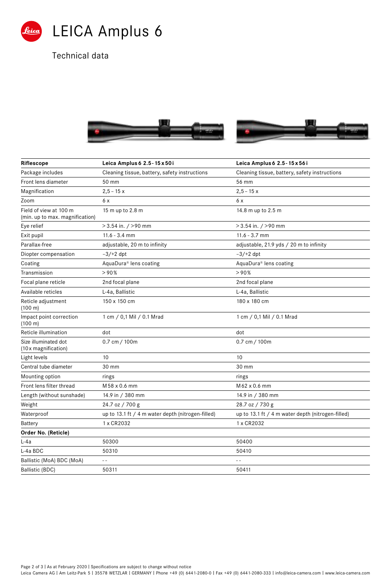

Technical data





| Riflescope                                                | Leica Amplus 6 2.5 - 15 x 50i                     | Leica Amplus 6 2.5 - 15 x 56i                     |  |
|-----------------------------------------------------------|---------------------------------------------------|---------------------------------------------------|--|
| Package includes                                          | Cleaning tissue, battery, safety instructions     | Cleaning tissue, battery, safety instructions     |  |
| Front lens diameter                                       | 50 mm                                             | 56 mm                                             |  |
| Magnification                                             | $2,5 - 15x$                                       | $2,5 - 15x$                                       |  |
| Zoom                                                      | 6 x                                               | 6 x                                               |  |
| Field of view at 100 m<br>(min. up to max. magnification) | 15 m up to 2.8 m                                  | 14.8 m up to 2.5 m                                |  |
| Eye relief                                                | $>$ 3.54 in. / $>$ 90 mm                          | $>$ 3.54 in. / $>$ 90 mm                          |  |
| Exit pupil                                                | $11.6 - 3.4$ mm                                   | $11.6 - 3.7$ mm                                   |  |
| Parallax-free                                             | adjustable, 20 m to infinity                      | adjustable, 21.9 yds / 20 m to infinity           |  |
| Diopter compensation                                      | $-3/+2$ dpt                                       | $-3/+2$ dpt                                       |  |
| Coating                                                   | AquaDura® lens coating                            | AquaDura® lens coating                            |  |
| Transmission                                              | >90%                                              | >90%                                              |  |
| Focal plane reticle                                       | 2nd focal plane                                   | 2nd focal plane                                   |  |
| Available reticles                                        | L-4a, Ballistic                                   | L-4a, Ballistic                                   |  |
| Reticle adjustment<br>(100 m)                             | 150 x 150 cm                                      | 180 x 180 cm                                      |  |
| Impact point correction<br>(100 m)                        | 1 cm / 0,1 Mil / 0.1 Mrad                         | 1 cm / 0,1 Mil / 0.1 Mrad                         |  |
| Reticle illumination                                      | dot                                               | dot                                               |  |
| Size illuminated dot<br>(10 x magnification)              | 0.7 cm / 100m                                     | 0.7 cm / 100m                                     |  |
| Light levels                                              | 10                                                | 10                                                |  |
| Central tube diameter                                     | 30 mm                                             | 30 mm                                             |  |
| Mounting option                                           | rings                                             | rings                                             |  |
| Front lens filter thread                                  | M 58 x 0.6 mm                                     | M62 x 0.6 mm                                      |  |
| Length (without sunshade)                                 | 14.9 in / 380 mm                                  | 14.9 in / 380 mm                                  |  |
| Weight                                                    | 24.7 oz / 700 g                                   | 28.7 oz / 730 g                                   |  |
| Waterproof                                                | up to 13.1 ft / 4 m water depth (nitrogen-filled) | up to 13.1 ft / 4 m water depth (nitrogen-filled) |  |
| <b>Battery</b>                                            | 1 x CR2032                                        | 1 x CR2032                                        |  |
| Order No. (Reticle)                                       |                                                   |                                                   |  |
| L-4a                                                      | 50300                                             | 50400                                             |  |
| L-4a BDC                                                  | 50310                                             | 50410                                             |  |
| Ballistic (MoA) BDC (MoA)                                 | $ -$                                              |                                                   |  |
| <b>Ballistic (BDC)</b>                                    | 50311                                             | 50411                                             |  |

Page 2 of 3 | As at February 2020 | Specifications are subject to change without notice

Leica Camera AG I Am Leitz-Park 5 I 35578 WETZLAR I GERMANY I Phone +49 (0) 6441-2080-0 I Fax +49 (0) 6441-2080-333 I info@leica-camera.com I www.leica-camera.com